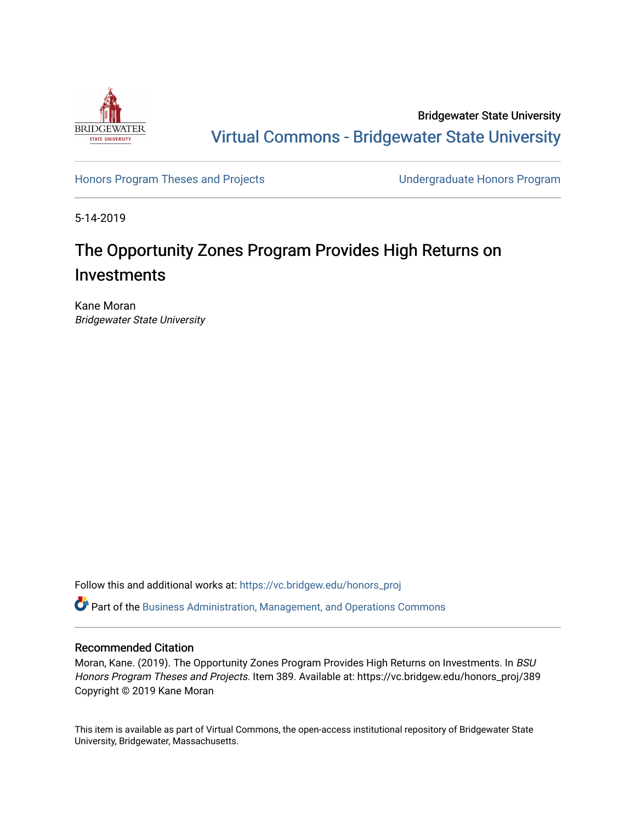

Bridgewater State University [Virtual Commons - Bridgewater State University](https://vc.bridgew.edu/) 

[Honors Program Theses and Projects](https://vc.bridgew.edu/honors_proj) [Undergraduate Honors Program](https://vc.bridgew.edu/honors) 

5-14-2019

# The Opportunity Zones Program Provides High Returns on Investments

Kane Moran Bridgewater State University

Follow this and additional works at: [https://vc.bridgew.edu/honors\\_proj](https://vc.bridgew.edu/honors_proj?utm_source=vc.bridgew.edu%2Fhonors_proj%2F389&utm_medium=PDF&utm_campaign=PDFCoverPages)

Part of the [Business Administration, Management, and Operations Commons](http://network.bepress.com/hgg/discipline/623?utm_source=vc.bridgew.edu%2Fhonors_proj%2F389&utm_medium=PDF&utm_campaign=PDFCoverPages)

# Recommended Citation

Moran, Kane. (2019). The Opportunity Zones Program Provides High Returns on Investments. In BSU Honors Program Theses and Projects. Item 389. Available at: https://vc.bridgew.edu/honors\_proj/389 Copyright © 2019 Kane Moran

This item is available as part of Virtual Commons, the open-access institutional repository of Bridgewater State University, Bridgewater, Massachusetts.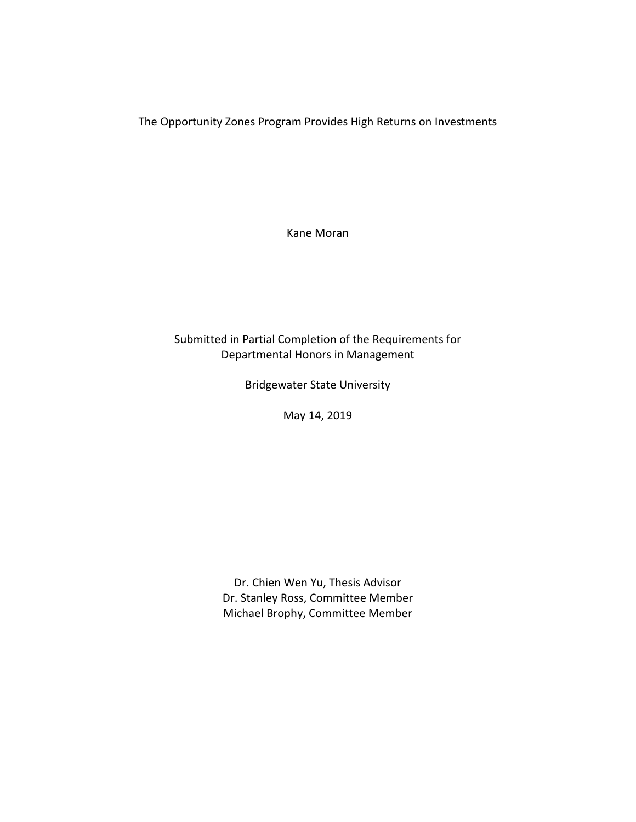The Opportunity Zones Program Provides High Returns on Investments

Kane Moran

# Submitted in Partial Completion of the Requirements for Departmental Honors in Management

Bridgewater State University

May 14, 2019

Dr. Chien Wen Yu, Thesis Advisor Dr. Stanley Ross, Committee Member Michael Brophy, Committee Member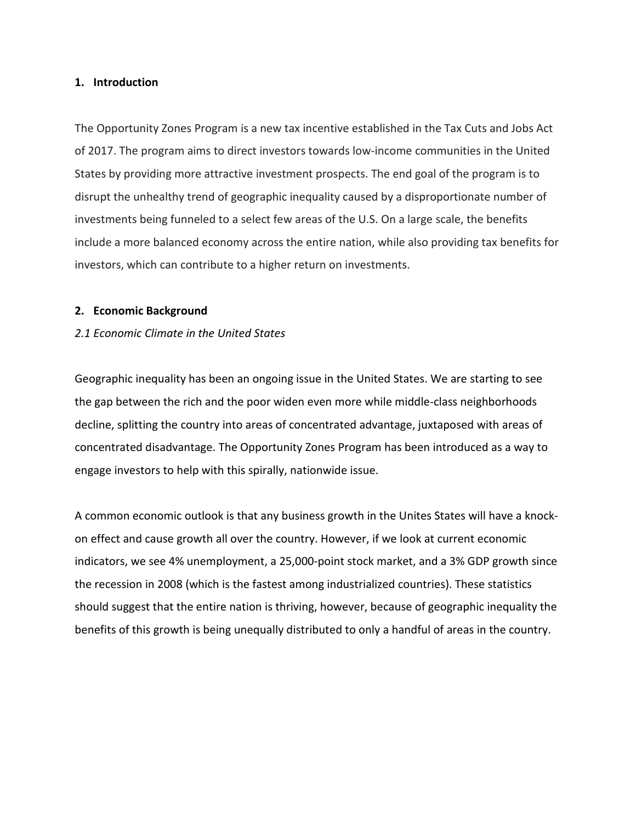#### **1. Introduction**

The Opportunity Zones Program is a new tax incentive established in the Tax Cuts and Jobs Act of 2017. The program aims to direct investors towards low-income communities in the United States by providing more attractive investment prospects. The end goal of the program is to disrupt the unhealthy trend of geographic inequality caused by a disproportionate number of investments being funneled to a select few areas of the U.S. On a large scale, the benefits include a more balanced economy across the entire nation, while also providing tax benefits for investors, which can contribute to a higher return on investments.

#### **2. Economic Background**

#### *2.1 Economic Climate in the United States*

Geographic inequality has been an ongoing issue in the United States. We are starting to see the gap between the rich and the poor widen even more while middle-class neighborhoods decline, splitting the country into areas of concentrated advantage, juxtaposed with areas of concentrated disadvantage. The Opportunity Zones Program has been introduced as a way to engage investors to help with this spirally, nationwide issue.

A common economic outlook is that any business growth in the Unites States will have a knockon effect and cause growth all over the country. However, if we look at current economic indicators, we see 4% unemployment, a 25,000-point stock market, and a 3% GDP growth since the recession in 2008 (which is the fastest among industrialized countries). These statistics should suggest that the entire nation is thriving, however, because of geographic inequality the benefits of this growth is being unequally distributed to only a handful of areas in the country.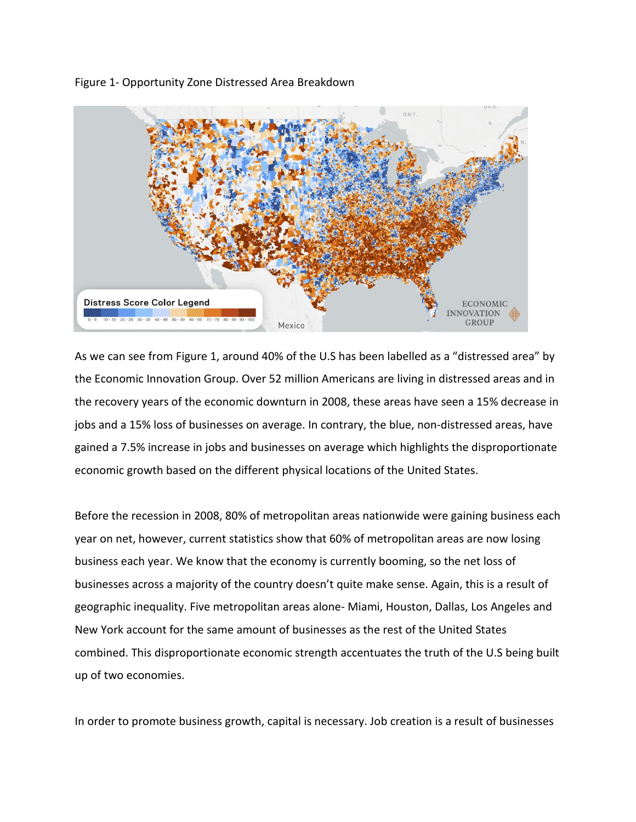



As we can see from Figure 1, around 40% of the U.S has been labelled as a "distressed area" by the Economic Innovation Group. Over 52 million Americans are living in distressed areas and in the recovery years of the economic downturn in 2008, these areas have seen a 15% decrease in jobs and a 15% loss of businesses on average. In contrary, the blue, non-distressed areas, have gained a 7.5% increase in jobs and businesses on average which highlights the disproportionate economic growth based on the different physical locations of the United States.

Before the recession in 2008, 80% of metropolitan areas nationwide were gaining business each year on net, however, current statistics show that 60% of metropolitan areas are now losing business each year. We know that the economy is currently booming, so the net loss of businesses across a majority of the country doesn't quite make sense. Again, this is a result of geographic inequality. Five metropolitan areas alone- Miami, Houston, Dallas, Los Angeles and New York account for the same amount of businesses as the rest of the United States combined. This disproportionate economic strength accentuates the truth of the U.S being built up of two economies.

In order to promote business growth, capital is necessary. Job creation is a result of businesses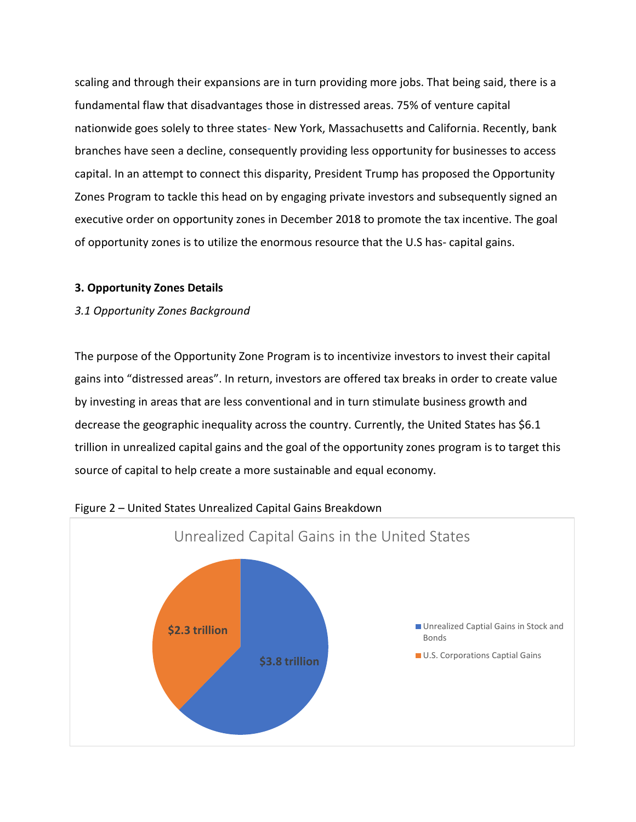scaling and through their expansions are in turn providing more jobs. That being said, there is a fundamental flaw that disadvantages those in distressed areas. 75% of venture capital nationwide goes solely to three states- New York, Massachusetts and California. Recently, bank branches have seen a decline, consequently providing less opportunity for businesses to access capital. In an attempt to connect this disparity, President Trump has proposed the Opportunity Zones Program to tackle this head on by engaging private investors and subsequently signed an executive order on opportunity zones in December 2018 to promote the tax incentive. The goal of opportunity zones is to utilize the enormous resource that the U.S has- capital gains.

# **3. Opportunity Zones Details**

# *3.1 Opportunity Zones Background*

The purpose of the Opportunity Zone Program is to incentivize investors to invest their capital gains into "distressed areas". In return, investors are offered tax breaks in order to create value by investing in areas that are less conventional and in turn stimulate business growth and decrease the geographic inequality across the country. Currently, the United States has \$6.1 trillion in unrealized capital gains and the goal of the opportunity zones program is to target this source of capital to help create a more sustainable and equal economy.



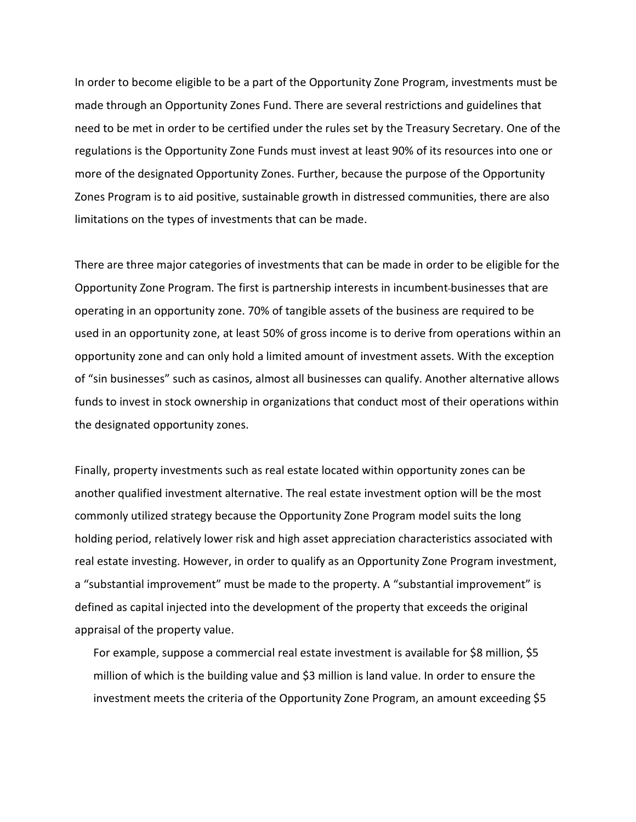In order to become eligible to be a part of the Opportunity Zone Program, investments must be made through an Opportunity Zones Fund. There are several restrictions and guidelines that need to be met in order to be certified under the rules set by the Treasury Secretary. One of the regulations is the Opportunity Zone Funds must invest at least 90% of its resources into one or more of the designated Opportunity Zones. Further, because the purpose of the Opportunity Zones Program is to aid positive, sustainable growth in distressed communities, there are also limitations on the types of investments that can be made.

There are three major categories of investments that can be made in order to be eligible for the Opportunity Zone Program. The first is partnership interests in incumbent businesses that are operating in an opportunity zone. 70% of tangible assets of the business are required to be used in an opportunity zone, at least 50% of gross income is to derive from operations within an opportunity zone and can only hold a limited amount of investment assets. With the exception of "sin businesses" such as casinos, almost all businesses can qualify. Another alternative allows funds to invest in stock ownership in organizations that conduct most of their operations within the designated opportunity zones.

Finally, property investments such as real estate located within opportunity zones can be another qualified investment alternative. The real estate investment option will be the most commonly utilized strategy because the Opportunity Zone Program model suits the long holding period, relatively lower risk and high asset appreciation characteristics associated with real estate investing. However, in order to qualify as an Opportunity Zone Program investment, a "substantial improvement" must be made to the property. A "substantial improvement" is defined as capital injected into the development of the property that exceeds the original appraisal of the property value.

For example, suppose a commercial real estate investment is available for \$8 million, \$5 million of which is the building value and \$3 million is land value. In order to ensure the investment meets the criteria of the Opportunity Zone Program, an amount exceeding \$5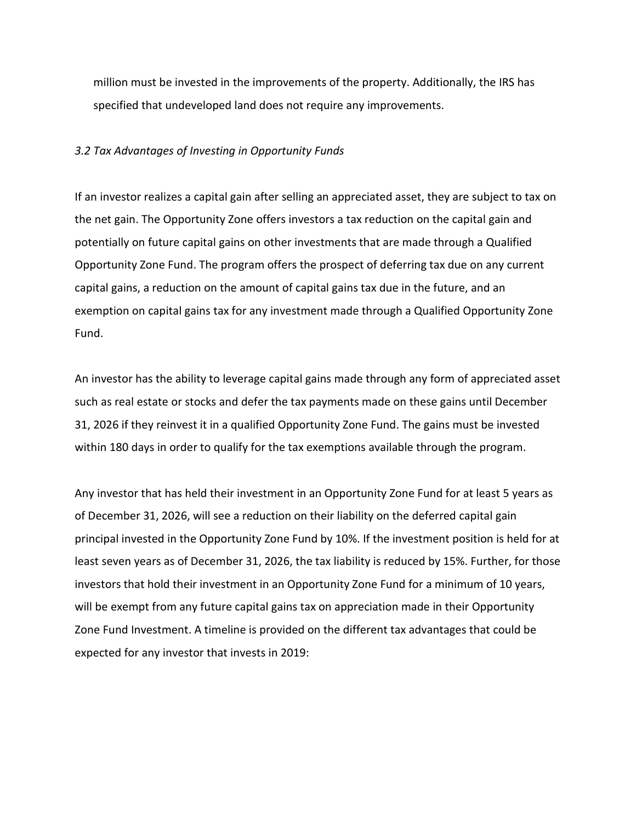million must be invested in the improvements of the property. Additionally, the IRS has specified that undeveloped land does not require any improvements.

### *3.2 Tax Advantages of Investing in Opportunity Funds*

If an investor realizes a capital gain after selling an appreciated asset, they are subject to tax on the net gain. The Opportunity Zone offers investors a tax reduction on the capital gain and potentially on future capital gains on other investments that are made through a Qualified Opportunity Zone Fund. The program offers the prospect of deferring tax due on any current capital gains, a reduction on the amount of capital gains tax due in the future, and an exemption on capital gains tax for any investment made through a Qualified Opportunity Zone Fund.

An investor has the ability to leverage capital gains made through any form of appreciated asset such as real estate or stocks and defer the tax payments made on these gains until December 31, 2026 if they reinvest it in a qualified Opportunity Zone Fund. The gains must be invested within 180 days in order to qualify for the tax exemptions available through the program.

Any investor that has held their investment in an Opportunity Zone Fund for at least 5 years as of December 31, 2026, will see a reduction on their liability on the deferred capital gain principal invested in the Opportunity Zone Fund by 10%. If the investment position is held for at least seven years as of December 31, 2026, the tax liability is reduced by 15%. Further, for those investors that hold their investment in an Opportunity Zone Fund for a minimum of 10 years, will be exempt from any future capital gains tax on appreciation made in their Opportunity Zone Fund Investment. A timeline is provided on the different tax advantages that could be expected for any investor that invests in 2019: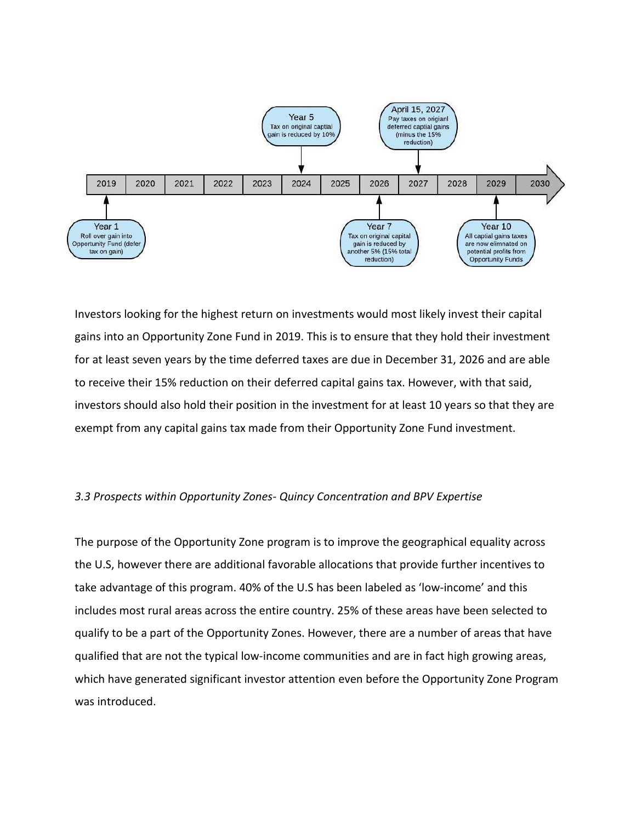

Investors looking for the highest return on investments would most likely invest their capital gains into an Opportunity Zone Fund in 2019. This is to ensure that they hold their investment for at least seven years by the time deferred taxes are due in December 31, 2026 and are able to receive their 15% reduction on their deferred capital gains tax. However, with that said, investors should also hold their position in the investment for at least 10 years so that they are exempt from any capital gains tax made from their Opportunity Zone Fund investment.

### *3.3 Prospects within Opportunity Zones- Quincy Concentration and BPV Expertise*

The purpose of the Opportunity Zone program is to improve the geographical equality across the U.S, however there are additional favorable allocations that provide further incentives to take advantage of this program. 40% of the U.S has been labeled as 'low-income' and this includes most rural areas across the entire country. 25% of these areas have been selected to qualify to be a part of the Opportunity Zones. However, there are a number of areas that have qualified that are not the typical low-income communities and are in fact high growing areas, which have generated significant investor attention even before the Opportunity Zone Program was introduced.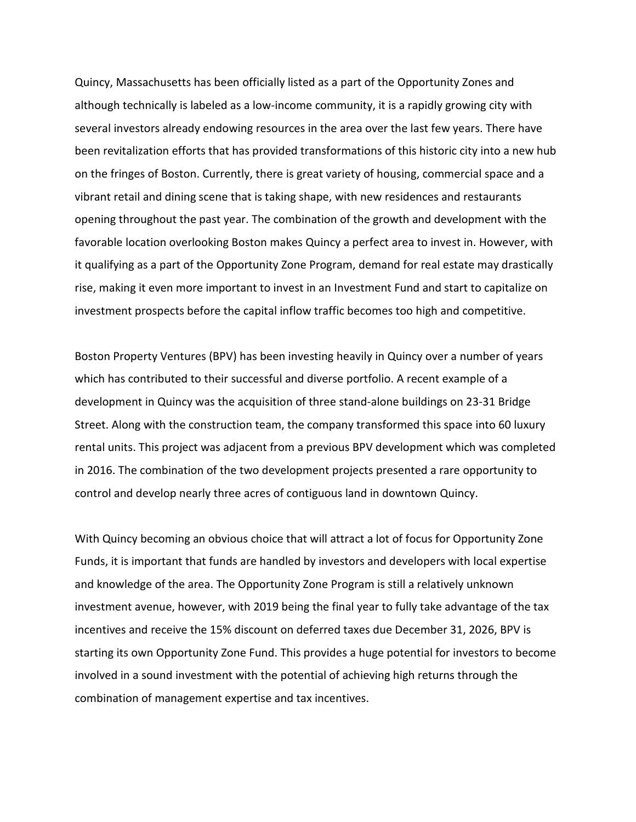Quincy, Massachusetts has been officially listed as a part of the Opportunity Zones and although technically is labeled as a low-income community, it is a rapidly growing city with several investors already endowing resources in the area over the last few years. There have been revitalization efforts that has provided transformations of this historic city into a new hub on the fringes of Boston. Currently, there is great variety of housing, commercial space and a vibrant retail and dining scene that is taking shape, with new residences and restaurants opening throughout the past year. The combination of the growth and development with the favorable location overlooking Boston makes Quincy a perfect area to invest in. However, with it qualifying as a part of the Opportunity Zone Program, demand for real estate may drastically rise, making it even more important to invest in an Investment Fund and start to capitalize on investment prospects before the capital inflow traffic becomes too high and competitive.

Boston Property Ventures (BPV) has been investing heavily in Quincy over a number of years which has contributed to their successful and diverse portfolio. A recent example of a development in Quincy was the acquisition of three stand-alone buildings on 23-31 Bridge Street. Along with the construction team, the company transformed this space into 60 luxury rental units. This project was adjacent from a previous BPV development which was completed in 2016. The combination of the two development projects presented a rare opportunity to control and develop nearly three acres of contiguous land in downtown Quincy.

With Quincy becoming an obvious choice that will attract a lot of focus for Opportunity Zone Funds, it is important that funds are handled by investors and developers with local expertise and knowledge of the area. The Opportunity Zone Program is still a relatively unknown investment avenue, however, with 2019 being the final year to fully take advantage of the tax incentives and receive the 15% discount on deferred taxes due December 31, 2026, BPV is starting its own Opportunity Zone Fund. This provides a huge potential for investors to become involved in a sound investment with the potential of achieving high returns through the combination of management expertise and tax incentives.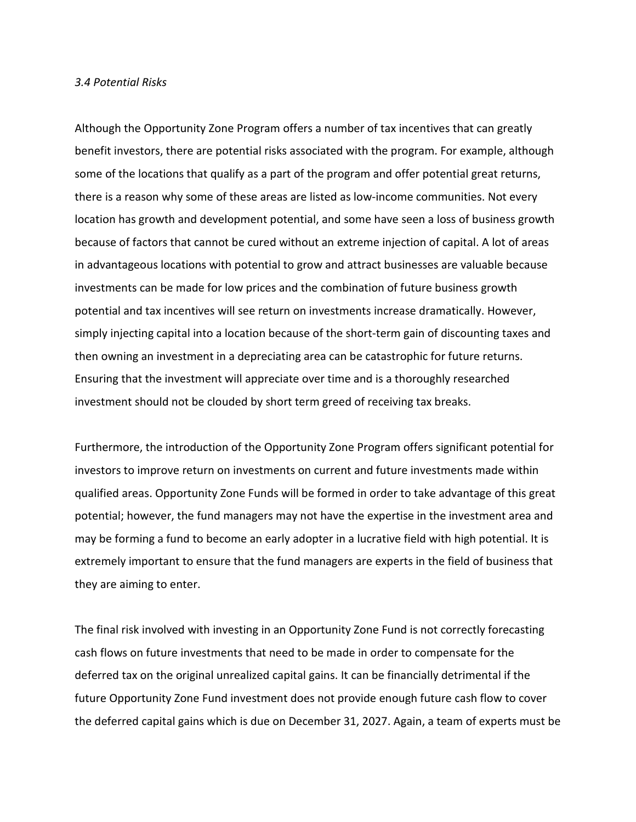#### *3.4 Potential Risks*

Although the Opportunity Zone Program offers a number of tax incentives that can greatly benefit investors, there are potential risks associated with the program. For example, although some of the locations that qualify as a part of the program and offer potential great returns, there is a reason why some of these areas are listed as low-income communities. Not every location has growth and development potential, and some have seen a loss of business growth because of factors that cannot be cured without an extreme injection of capital. A lot of areas in advantageous locations with potential to grow and attract businesses are valuable because investments can be made for low prices and the combination of future business growth potential and tax incentives will see return on investments increase dramatically. However, simply injecting capital into a location because of the short-term gain of discounting taxes and then owning an investment in a depreciating area can be catastrophic for future returns. Ensuring that the investment will appreciate over time and is a thoroughly researched investment should not be clouded by short term greed of receiving tax breaks.

Furthermore, the introduction of the Opportunity Zone Program offers significant potential for investors to improve return on investments on current and future investments made within qualified areas. Opportunity Zone Funds will be formed in order to take advantage of this great potential; however, the fund managers may not have the expertise in the investment area and may be forming a fund to become an early adopter in a lucrative field with high potential. It is extremely important to ensure that the fund managers are experts in the field of business that they are aiming to enter.

The final risk involved with investing in an Opportunity Zone Fund is not correctly forecasting cash flows on future investments that need to be made in order to compensate for the deferred tax on the original unrealized capital gains. It can be financially detrimental if the future Opportunity Zone Fund investment does not provide enough future cash flow to cover the deferred capital gains which is due on December 31, 2027. Again, a team of experts must be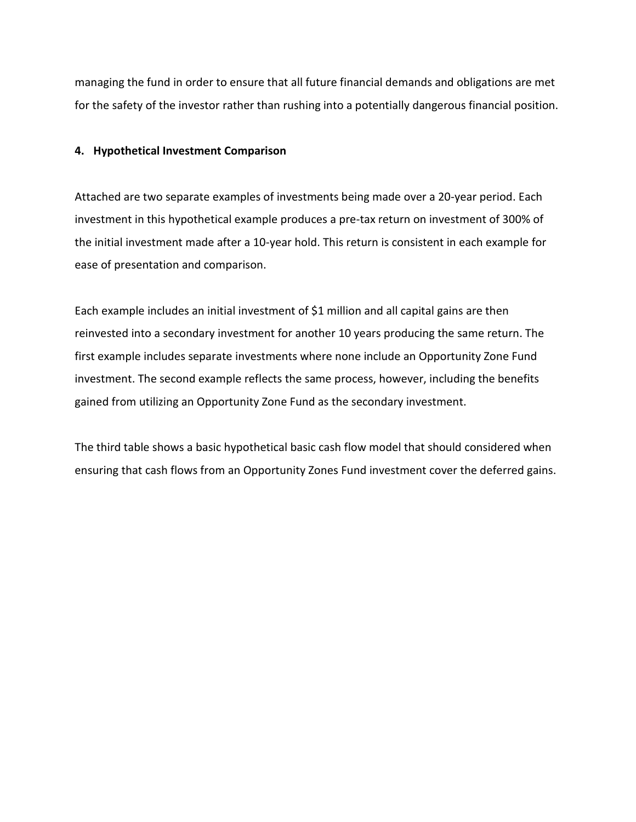managing the fund in order to ensure that all future financial demands and obligations are met for the safety of the investor rather than rushing into a potentially dangerous financial position.

### **4. Hypothetical Investment Comparison**

Attached are two separate examples of investments being made over a 20-year period. Each investment in this hypothetical example produces a pre-tax return on investment of 300% of the initial investment made after a 10-year hold. This return is consistent in each example for ease of presentation and comparison.

Each example includes an initial investment of \$1 million and all capital gains are then reinvested into a secondary investment for another 10 years producing the same return. The first example includes separate investments where none include an Opportunity Zone Fund investment. The second example reflects the same process, however, including the benefits gained from utilizing an Opportunity Zone Fund as the secondary investment.

The third table shows a basic hypothetical basic cash flow model that should considered when ensuring that cash flows from an Opportunity Zones Fund investment cover the deferred gains.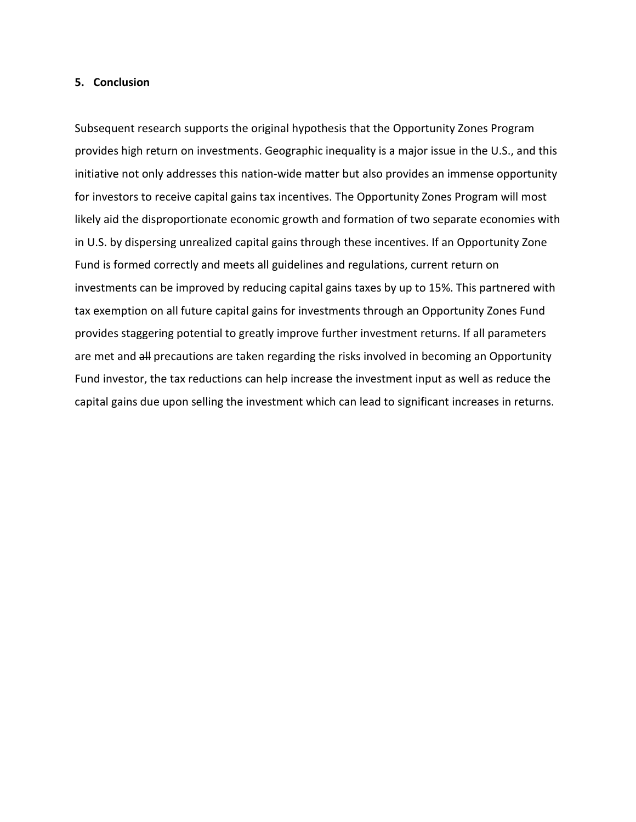#### **5. Conclusion**

Subsequent research supports the original hypothesis that the Opportunity Zones Program provides high return on investments. Geographic inequality is a major issue in the U.S., and this initiative not only addresses this nation-wide matter but also provides an immense opportunity for investors to receive capital gains tax incentives. The Opportunity Zones Program will most likely aid the disproportionate economic growth and formation of two separate economies with in U.S. by dispersing unrealized capital gains through these incentives. If an Opportunity Zone Fund is formed correctly and meets all guidelines and regulations, current return on investments can be improved by reducing capital gains taxes by up to 15%. This partnered with tax exemption on all future capital gains for investments through an Opportunity Zones Fund provides staggering potential to greatly improve further investment returns. If all parameters are met and all precautions are taken regarding the risks involved in becoming an Opportunity Fund investor, the tax reductions can help increase the investment input as well as reduce the capital gains due upon selling the investment which can lead to significant increases in returns.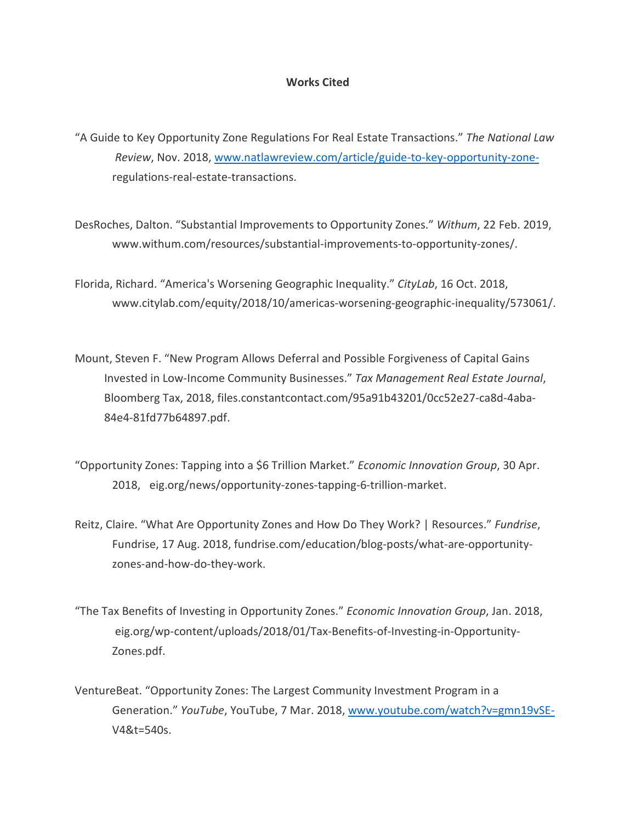#### **Works Cited**

- "A Guide to Key Opportunity Zone Regulations For Real Estate Transactions." *The National Law Review*, Nov. 2018, [www.natlawreview.com/article/guide-to-key-opportunity-zone](http://www.natlawreview.com/article/guide-to-key-opportunity-zone-)regulations-real-estate-transactions.
- DesRoches, Dalton. "Substantial Improvements to Opportunity Zones." *Withum*, 22 Feb. 2019, www.withum.com/resources/substantial-improvements-to-opportunity-zones/.
- Florida, Richard. "America's Worsening Geographic Inequality." *CityLab*, 16 Oct. 2018, www.citylab.com/equity/2018/10/americas-worsening-geographic-inequality/573061/.
- Mount, Steven F. "New Program Allows Deferral and Possible Forgiveness of Capital Gains Invested in Low-Income Community Businesses." *Tax Management Real Estate Journal*, Bloomberg Tax, 2018, files.constantcontact.com/95a91b43201/0cc52e27-ca8d-4aba-84e4-81fd77b64897.pdf.
- "Opportunity Zones: Tapping into a \$6 Trillion Market." *Economic Innovation Group*, 30 Apr. 2018, eig.org/news/opportunity-zones-tapping-6-trillion-market.
- Reitz, Claire. "What Are Opportunity Zones and How Do They Work? | Resources." *Fundrise*, Fundrise, 17 Aug. 2018, fundrise.com/education/blog-posts/what-are-opportunityzones-and-how-do-they-work.
- "The Tax Benefits of Investing in Opportunity Zones." *Economic Innovation Group*, Jan. 2018, eig.org/wp-content/uploads/2018/01/Tax-Benefits-of-Investing-in-Opportunity-Zones.pdf.
- VentureBeat. "Opportunity Zones: The Largest Community Investment Program in a Generation." *YouTube*, YouTube, 7 Mar. 2018, [www.youtube.com/watch?v=gmn19vSE-](http://www.youtube.com/watch?v=gmn19vSE-)V4&t=540s.